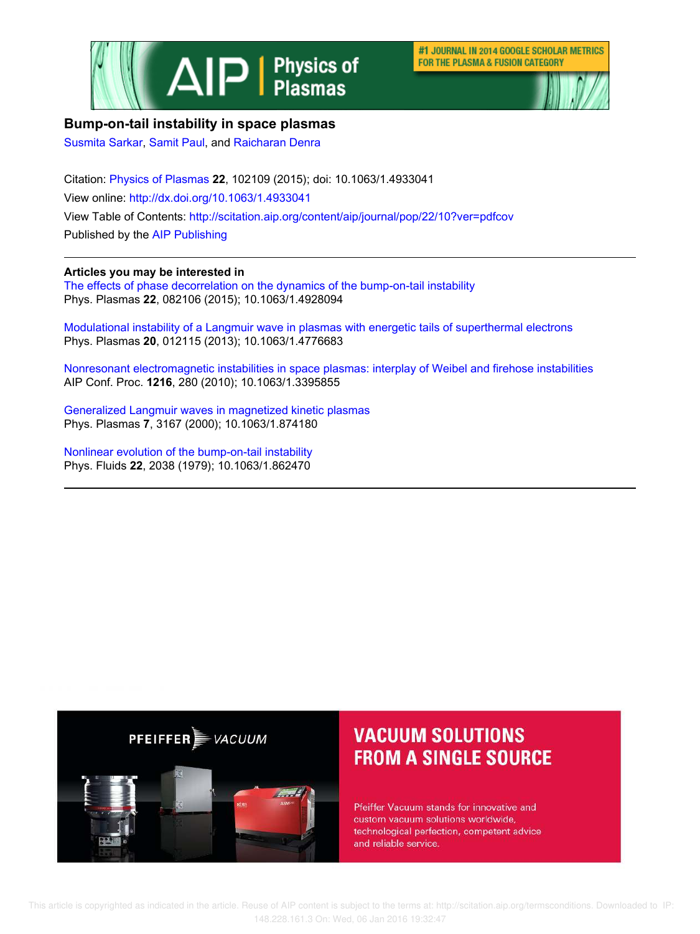

#1 JOURNAL IN 2014 GOOGLE SCHOLAR METRICS FOR THE PLASMA & FUSION CATEGORY



## **Bump-on-tail instability in space plasmas**

Susmita Sarkar, Samit Paul, and Raicharan Denra

Citation: Physics of Plasmas **22**, 102109 (2015); doi: 10.1063/1.4933041 View online: http://dx.doi.org/10.1063/1.4933041 View Table of Contents: http://scitation.aip.org/content/aip/journal/pop/22/10?ver=pdfcov Published by the AIP Publishing

### **Articles you may be interested in**

The effects of phase decorrelation on the dynamics of the bump-on-tail instability Phys. Plasmas **22**, 082106 (2015); 10.1063/1.4928094

Modulational instability of a Langmuir wave in plasmas with energetic tails of superthermal electrons Phys. Plasmas **20**, 012115 (2013); 10.1063/1.4776683

Nonresonant electromagnetic instabilities in space plasmas: interplay of Weibel and firehose instabilities AIP Conf. Proc. **1216**, 280 (2010); 10.1063/1.3395855

Generalized Langmuir waves in magnetized kinetic plasmas Phys. Plasmas **7**, 3167 (2000); 10.1063/1.874180

Nonlinear evolution of the bump‐on‐tail instability Phys. Fluids **22**, 2038 (1979); 10.1063/1.862470



# **VACUUM SOLUTIONS FROM A SINGLE SOURCE**

Pfeiffer Vacuum stands for innovative and custom vacuum solutions worldwide, technological perfection, competent advice and reliable service.

 This article is copyrighted as indicated in the article. Reuse of AIP content is subject to the terms at: http://scitation.aip.org/termsconditions. Downloaded to IP: 148.228.161.3 On: Wed, 06 Jan 2016 19:32:47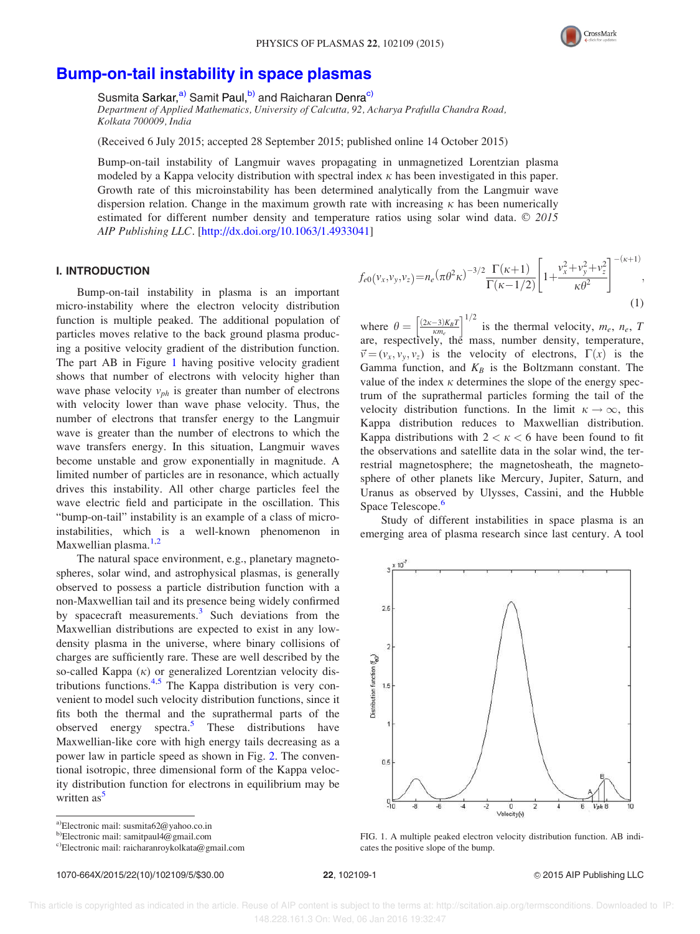

## Bump-on-tail instability in space plasmas

Susmita Sarkar,<sup>a)</sup> Samit Paul,<sup>b)</sup> and Raicharan Denra<sup>c)</sup>

Department of Applied Mathematics, University of Calcutta, 92, Acharya Prafulla Chandra Road, Kolkata 700009, India

(Received 6 July 2015; accepted 28 September 2015; published online 14 October 2015)

Bump-on-tail instability of Langmuir waves propagating in unmagnetized Lorentzian plasma modeled by a Kappa velocity distribution with spectral index  $\kappa$  has been investigated in this paper. Growth rate of this microinstability has been determined analytically from the Langmuir wave dispersion relation. Change in the maximum growth rate with increasing  $\kappa$  has been numerically estimated for different number density and temperature ratios using solar wind data.  $\odot$  2015 AIP Publishing LLC. [http://dx.doi.org/10.1063/1.4933041]

#### I. INTRODUCTION

Bump-on-tail instability in plasma is an important micro-instability where the electron velocity distribution function is multiple peaked. The additional population of particles moves relative to the back ground plasma producing a positive velocity gradient of the distribution function. The part AB in Figure 1 having positive velocity gradient shows that number of electrons with velocity higher than wave phase velocity  $v_{ph}$  is greater than number of electrons with velocity lower than wave phase velocity. Thus, the number of electrons that transfer energy to the Langmuir wave is greater than the number of electrons to which the wave transfers energy. In this situation, Langmuir waves become unstable and grow exponentially in magnitude. A limited number of particles are in resonance, which actually drives this instability. All other charge particles feel the wave electric field and participate in the oscillation. This "bump-on-tail" instability is an example of a class of microinstabilities, which is a well-known phenomenon in Maxwellian plasma. $1,2$ 

The natural space environment, e.g., planetary magnetospheres, solar wind, and astrophysical plasmas, is generally observed to possess a particle distribution function with a non-Maxwellian tail and its presence being widely confirmed by spacecraft measurements.<sup>3</sup> Such deviations from the Maxwellian distributions are expected to exist in any lowdensity plasma in the universe, where binary collisions of charges are sufficiently rare. These are well described by the so-called Kappa  $(\kappa)$  or generalized Lorentzian velocity distributions functions.<sup>4,5</sup> The Kappa distribution is very convenient to model such velocity distribution functions, since it fits both the thermal and the suprathermal parts of the observed energy spectra.<sup>5</sup> These distributions have Maxwellian-like core with high energy tails decreasing as a power law in particle speed as shown in Fig. 2. The conventional isotropic, three dimensional form of the Kappa velocity distribution function for electrons in equilibrium may be written  $as<sup>5</sup>$ 

1070-664X/2015/22(10)/102109/5/\$30.00 22, 102109-1 20 2015 AIP Publishing LLC

 $f_{e0}(v_x, v_y, v_z) = n_e (\pi \theta^2 \kappa)^{-3/2} \frac{\Gamma(\kappa + 1)}{\Gamma(\kappa - 1/2)}$  $\frac{\Gamma(\kappa+1)}{\Gamma(\kappa-1/2)}$  | 1+  $v_x^2 + v_y^2 + v_z^2$  $\kappa\theta^2$  $\left[ v^2 + v^2 + v^2 \right]^{-(\kappa+1)}$ ; (1)

where  $\theta = \left[\frac{(2\kappa-3)K_BT}{\kappa m_e}\right]^{1/2}$  is the thermal velocity,  $m_e$ ,  $n_e$ , T are, respectively, the mass, number density, temperature,  $\vec{v} = (v_x, v_y, v_z)$  is the velocity of electrons,  $\Gamma(x)$  is the Gamma function, and  $K_B$  is the Boltzmann constant. The value of the index  $\kappa$  determines the slope of the energy spectrum of the suprathermal particles forming the tail of the velocity distribution functions. In the limit  $\kappa \to \infty$ , this Kappa distribution reduces to Maxwellian distribution. Kappa distributions with  $2 < \kappa < 6$  have been found to fit the observations and satellite data in the solar wind, the terrestrial magnetosphere; the magnetosheath, the magnetosphere of other planets like Mercury, Jupiter, Saturn, and Uranus as observed by Ulysses, Cassini, and the Hubble Space Telescope.<sup>6</sup>

Study of different instabilities in space plasma is an emerging area of plasma research since last century. A tool



FIG. 1. A multiple peaked electron velocity distribution function. AB indicates the positive slope of the bump.

a)Electronic mail: susmita62@yahoo.co.in

b)Electronic mail: samitpaul4@gmail.com

c)Electronic mail: raicharanroykolkata@gmail.com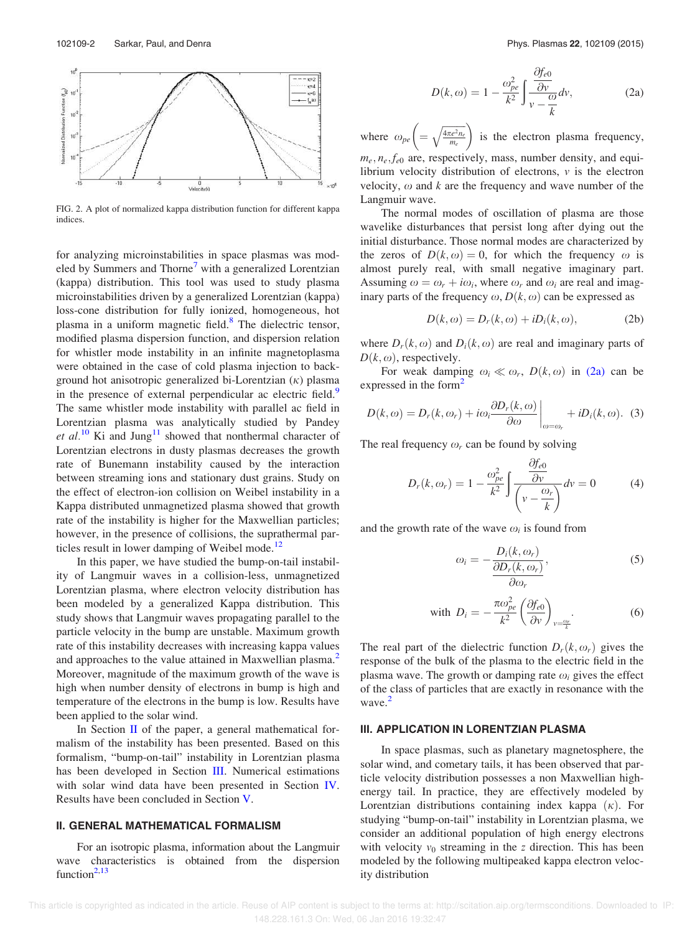

FIG. 2. A plot of normalized kappa distribution function for different kappa indices.

for analyzing microinstabilities in space plasmas was modeled by Summers and Thorne<sup>7</sup> with a generalized Lorentzian (kappa) distribution. This tool was used to study plasma microinstabilities driven by a generalized Lorentzian (kappa) loss-cone distribution for fully ionized, homogeneous, hot plasma in a uniform magnetic field.<sup>8</sup> The dielectric tensor, modified plasma dispersion function, and dispersion relation for whistler mode instability in an infinite magnetoplasma were obtained in the case of cold plasma injection to background hot anisotropic generalized bi-Lorentzian  $(\kappa)$  plasma in the presence of external perpendicular ac electric field.<sup>9</sup> The same whistler mode instability with parallel ac field in Lorentzian plasma was analytically studied by Pandey et al.<sup>10</sup> Ki and Jung<sup>11</sup> showed that nonthermal character of Lorentzian electrons in dusty plasmas decreases the growth rate of Bunemann instability caused by the interaction between streaming ions and stationary dust grains. Study on the effect of electron-ion collision on Weibel instability in a Kappa distributed unmagnetized plasma showed that growth rate of the instability is higher for the Maxwellian particles; however, in the presence of collisions, the suprathermal particles result in lower damping of Weibel mode.<sup>12</sup>

In this paper, we have studied the bump-on-tail instability of Langmuir waves in a collision-less, unmagnetized Lorentzian plasma, where electron velocity distribution has been modeled by a generalized Kappa distribution. This study shows that Langmuir waves propagating parallel to the particle velocity in the bump are unstable. Maximum growth rate of this instability decreases with increasing kappa values and approaches to the value attained in Maxwellian plasma.<sup>2</sup> Moreover, magnitude of the maximum growth of the wave is high when number density of electrons in bump is high and temperature of the electrons in the bump is low. Results have been applied to the solar wind.

In Section II of the paper, a general mathematical formalism of the instability has been presented. Based on this formalism, "bump-on-tail" instability in Lorentzian plasma has been developed in Section III. Numerical estimations with solar wind data have been presented in Section IV. Results have been concluded in Section V.

#### II. GENERAL MATHEMATICAL FORMALISM

For an isotropic plasma, information about the Langmuir wave characteristics is obtained from the dispersion function $2,13$ 

$$
D(k,\omega) = 1 - \frac{\omega_{pe}^2}{k^2} \int \frac{\frac{\partial f_{e0}}{\partial v}}{v - \frac{\omega}{k}} dv,
$$
 (2a)

where  $\omega_{pe} \left( = \sqrt{\frac{4\pi e^2 n_e}{m_e}} \right)$ is the electron plasma frequency,  $m_e$ ,  $n_e$ ,  $f_{e0}$  are, respectively, mass, number density, and equilibrium velocity distribution of electrons, v is the electron velocity,  $\omega$  and k are the frequency and wave number of the Langmuir wave.

The normal modes of oscillation of plasma are those wavelike disturbances that persist long after dying out the initial disturbance. Those normal modes are characterized by the zeros of  $D(k, \omega) = 0$ , for which the frequency  $\omega$  is almost purely real, with small negative imaginary part. Assuming  $\omega = \omega_r + i\omega_i$ , where  $\omega_r$  and  $\omega_i$  are real and imaginary parts of the frequency  $\omega$ ,  $D(k, \omega)$  can be expressed as

$$
D(k, \omega) = D_r(k, \omega) + iD_i(k, \omega), \qquad (2b)
$$

where  $D_r(k, \omega)$  and  $D_i(k, \omega)$  are real and imaginary parts of  $D(k, \omega)$ , respectively.

For weak damping  $\omega_i \ll \omega_r$ ,  $D(k, \omega)$  in (2a) can be expressed in the form<sup>2</sup>

$$
D(k,\omega) = D_r(k,\omega_r) + i\omega_i \frac{\partial D_r(k,\omega)}{\partial \omega}\bigg|_{\omega=\omega_r} + iD_i(k,\omega). \tag{3}
$$

The real frequency  $\omega_r$  can be found by solving

$$
D_r(k, \omega_r) = 1 - \frac{\omega_{pe}^2}{k^2} \int \frac{\frac{\partial f_{e0}}{\partial v}}{\left(v - \frac{\omega_r}{k}\right)} dv = 0 \tag{4}
$$

and the growth rate of the wave  $\omega_i$  is found from

$$
\omega_i = -\frac{D_i(k, \omega_r)}{\frac{\partial D_r(k, \omega_r)}{\partial \omega_r}},\tag{5}
$$

with 
$$
D_i = -\frac{\pi \omega_{pe}^2}{k^2} \left(\frac{\partial f_{e0}}{\partial v}\right)_{v=\frac{\omega_r}{k}}
$$
. (6)

The real part of the dielectric function  $D_r(k, \omega_r)$  gives the response of the bulk of the plasma to the electric field in the plasma wave. The growth or damping rate  $\omega_i$  gives the effect of the class of particles that are exactly in resonance with the wave.<sup>2</sup>

#### III. APPLICATION IN LORENTZIAN PLASMA

In space plasmas, such as planetary magnetosphere, the solar wind, and cometary tails, it has been observed that particle velocity distribution possesses a non Maxwellian highenergy tail. In practice, they are effectively modeled by Lorentzian distributions containing index kappa  $(\kappa)$ . For studying "bump-on-tail" instability in Lorentzian plasma, we consider an additional population of high energy electrons with velocity  $v_0$  streaming in the z direction. This has been modeled by the following multipeaked kappa electron velocity distribution

This article is copyrighted as indicated in the article. Reuse of AIP content is subject to the terms at: http://scitation.aip.org/termsconditions. Downloaded to IP: 148.228.161.3 On: Wed, 06 Jan 2016 19:32:47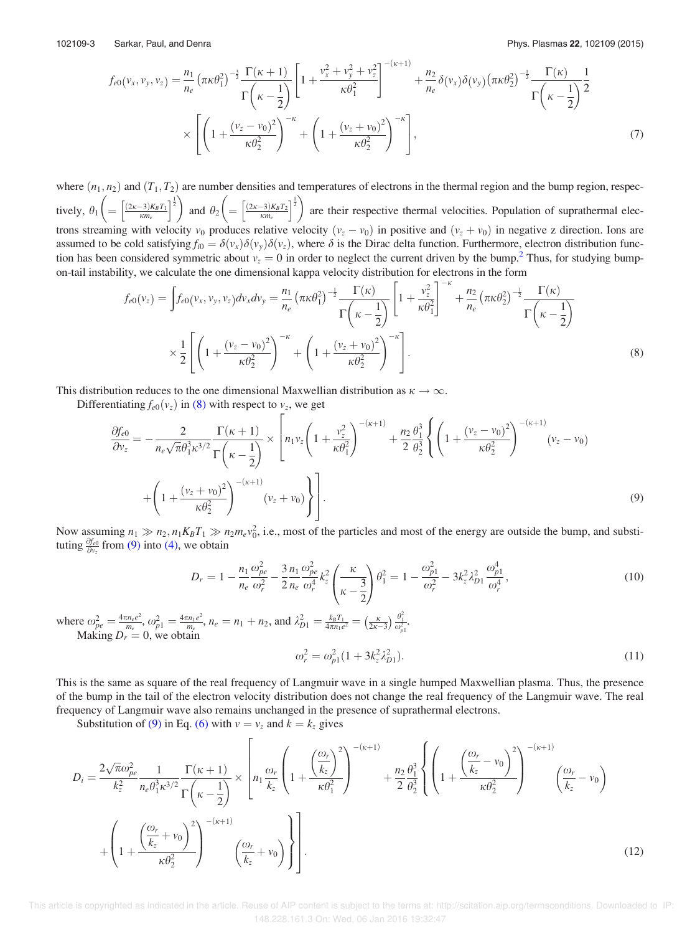$$
f_{e0}(v_x, v_y, v_z) = \frac{n_1}{n_e} \left(\pi \kappa \theta_1^2\right)^{-\frac{3}{2}} \frac{\Gamma(\kappa + 1)}{\Gamma\left(\kappa - \frac{1}{2}\right)} \left[1 + \frac{v_x^2 + v_y^2 + v_z^2}{\kappa \theta_1^2}\right]^{-(\kappa + 1)} + \frac{n_2}{n_e} \delta(v_x) \delta(v_y) \left(\pi \kappa \theta_2^2\right)^{-\frac{1}{2}} \frac{\Gamma(\kappa)}{\Gamma\left(\kappa - \frac{1}{2}\right)} \frac{1}{2}
$$
  
 
$$
\times \left[ \left(1 + \frac{(v_z - v_0)^2}{\kappa \theta_2^2}\right)^{-\kappa} + \left(1 + \frac{(v_z + v_0)^2}{\kappa \theta_2^2}\right)^{-\kappa} \right],
$$
 (7)

where  $(n_1, n_2)$  and  $(T_1, T_2)$  are number densities and temperatures of electrons in the thermal region and the bump region, respectively,  $\theta_1 \left( = \left[ \frac{(2\kappa - 3)K_B T_1}{\kappa m_e} \right]^{\frac{1}{2}} \right)$  and  $\theta_2 \left( = \left[ \frac{(2\kappa - 3)K_B T_2}{\kappa m_e} \right]^{\frac{1}{2}} \right)$  are their respective thermal velocities. Population of suprathermal electrons streaming with velocity  $v_0$  produces relative velocity  $(v_z - v_0)$  in positive and  $(v_z + v_0)$  in negative z direction. Ions are assumed to be cold satisfying  $f_{i0} = \delta(v_x)\delta(v_y)\delta(v_z)$ , where  $\delta$  is the Dirac delta function. Furthermore, electron distribution function has been considered symmetric about  $v_z = 0$  in order to neglect the current driven by the bump.<sup>2</sup> Thus, for studying bumpon-tail instability, we calculate the one dimensional kappa velocity distribution for electrons in the form

$$
f_{e0}(v_z) = \int f_{e0}(v_x, v_y, v_z) dv_x dv_y = \frac{n_1}{n_e} \left( \pi \kappa \theta_1^2 \right)^{-\frac{1}{2}} \frac{\Gamma(\kappa)}{\Gamma(\kappa - \frac{1}{2})} \left[ 1 + \frac{v_z^2}{\kappa \theta_1^2} \right]^{-\kappa} + \frac{n_2}{n_e} \left( \pi \kappa \theta_2^2 \right)^{-\frac{1}{2}} \frac{\Gamma(\kappa)}{\Gamma(\kappa - \frac{1}{2})} \times \frac{1}{2} \left[ \left( 1 + \frac{(v_z - v_0)^2}{\kappa \theta_2^2} \right)^{-\kappa} + \left( 1 + \frac{(v_z + v_0)^2}{\kappa \theta_2^2} \right)^{-\kappa} \right].
$$
\n(8)

This distribution reduces to the one dimensional Maxwellian distribution as  $\kappa \to \infty$ .

Differentiating  $f_{e0}(v_z)$  in (8) with respect to  $v_z$ , we get

$$
\frac{\partial f_{e0}}{\partial v_z} = -\frac{2}{n_e \sqrt{\pi} \theta_1^3 \kappa^{3/2}} \frac{\Gamma(\kappa + 1)}{\Gamma(\kappa - \frac{1}{2})} \times \left[ n_1 v_z \left( 1 + \frac{v_z^2}{\kappa \theta_1^2} \right)^{-(\kappa + 1)} + \frac{n_2}{2} \frac{\theta_1^3}{\theta_2^3} \left\{ \left( 1 + \frac{(v_z - v_0)^2}{\kappa \theta_2^2} \right)^{-(\kappa + 1)} (v_z - v_0) \right. \right. \\ \left. + \left( 1 + \frac{(v_z + v_0)^2}{\kappa \theta_2^2} \right)^{-(\kappa + 1)} (v_z + v_0) \right\} \right].
$$
\n(9)

Now assuming  $n_1 \gg n_2, n_1K_BT_1 \gg n_2m_ev_0^2$ , i.e., most of the particles and most of the energy are outside the bump, and substituting  $\frac{\partial f_{e0}}{\partial v_z}$  from (9) into (4), we obtain

$$
D_r = 1 - \frac{n_1}{n_e} \frac{\omega_{pe}^2}{\omega_r^2} - \frac{3}{2} \frac{n_1}{n_e} \frac{\omega_{pe}^2}{\omega_r^4} k_z^2 \left(\frac{\kappa}{\kappa - \frac{3}{2}}\right) \theta_1^2 = 1 - \frac{\omega_{p1}^2}{\omega_r^2} - 3k_z^2 \lambda_{p1}^2 \frac{\omega_{p1}^4}{\omega_r^4},\tag{10}
$$

where  $\omega_{pe}^2 = \frac{4\pi n_e e^2}{m_e}$  $\frac{m_e e^2}{m_e}, \omega_{p1}^2 = \frac{4\pi n_1 e^2}{m_e}$  $\frac{m_1 e^2}{m_e}, n_e = n_1 + n_2$ , and  $\lambda_{D1}^2 = \frac{k_B T_1}{4 \pi n_1 e^2} = \left(\frac{\kappa}{2\kappa - 3}\right) \frac{\theta_1^2}{\omega_{p1}^2}$ . Making  $D_r = 0$ , we obtain

$$
\omega_r^2 = \omega_{p1}^2 (1 + 3k_z^2 \lambda_{D1}^2). \tag{11}
$$

This is the same as square of the real frequency of Langmuir wave in a single humped Maxwellian plasma. Thus, the presence of the bump in the tail of the electron velocity distribution does not change the real frequency of the Langmuir wave. The real frequency of Langmuir wave also remains unchanged in the presence of suprathermal electrons.

Substitution of (9) in Eq. (6) with  $v = v_z$  and  $k = k_z$  gives

$$
D_i = \frac{2\sqrt{\pi}\omega_{pe}^2}{k_z^2} \frac{1}{n_e \theta_1^3 \kappa^{3/2}} \frac{\Gamma(\kappa+1)}{\Gamma(\kappa-1)} \times \left[ n_1 \frac{\omega_r}{k_z} \left( 1 + \frac{\left(\frac{\omega_r}{k_z}\right)^2}{\kappa \theta_1^2} \right)^{-(\kappa+1)} + \frac{n_2 \theta_1^3}{2 \theta_2^3} \left\{ \left( 1 + \frac{\left(\frac{\omega_r}{k_z} - v_0\right)^2}{\kappa \theta_2^2} \right)^{-(\kappa+1)} \left(\frac{\omega_r}{k_z} - v_0\right)^{-(\kappa+1)} \right\} \right] + \left( 1 + \frac{\left(\frac{\omega_r}{k_z} + v_0\right)^2}{\kappa \theta_2^2} \right)^{-(\kappa+1)} \left(\frac{\omega_r}{k_z} + v_0\right) \right].
$$
\n(12)

This article is copyrighted as indicated in the article. Reuse of AIP content is subject to the terms at: http://scitation.aip.org/termsconditions. Downloaded to IP 148.228.161.3 On: Wed, 06 Jan 2016 19:32:47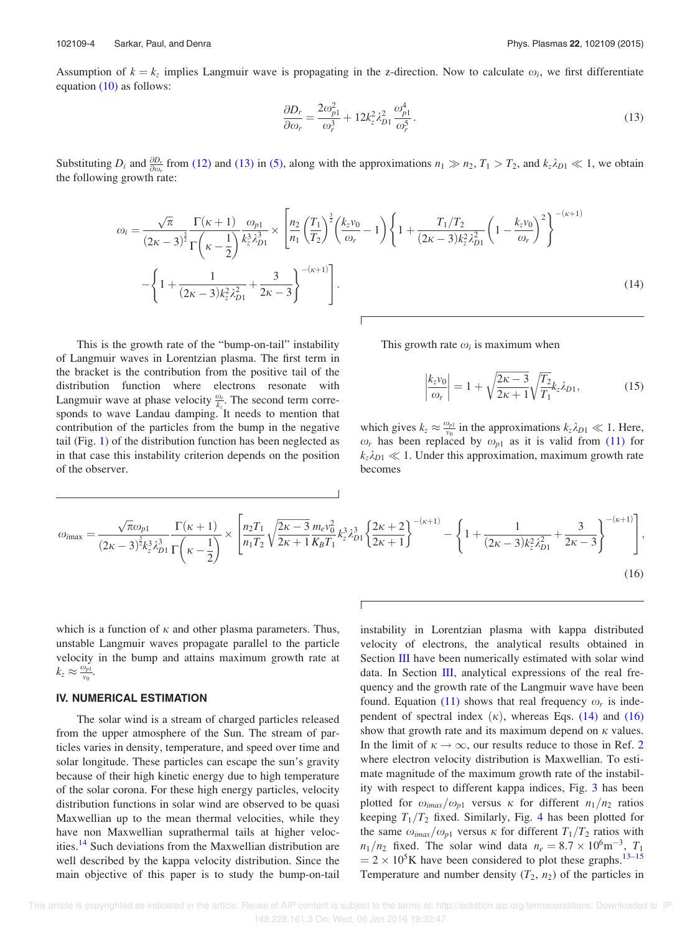Assumption of  $k = k_z$  implies Langmuir wave is propagating in the z-direction. Now to calculate  $\omega_i$ , we first differentiate equation (10) as follows:

$$
\frac{\partial D_r}{\partial \omega_r} = \frac{2\omega_{p1}^2}{\omega_r^3} + 12k_z^2 \lambda_{D1}^2 \frac{\omega_{p1}^4}{\omega_r^5}.
$$
\n(13)

Substituting  $D_i$  and  $\frac{\partial D_r}{\partial \omega_r}$  from (12) and (13) in (5), along with the approximations  $n_1 \gg n_2$ ,  $T_1 > T_2$ , and  $k_z \lambda_{D1} \ll 1$ , we obtain the following growth rate:

$$
\omega_{i} = \frac{\sqrt{\pi}}{(2\kappa - 3)^{\frac{3}{2}}}\frac{\Gamma(\kappa + 1)}{\Gamma(\kappa - \frac{1}{2})}\frac{\omega_{p1}}{k_{z}^{3}\lambda_{p1}^{3}} \times \left[\frac{n_{2}}{n_{1}}\left(\frac{T_{1}}{T_{2}}\right)^{\frac{3}{2}}\left(\frac{k_{z}v_{0}}{\omega_{r}} - 1\right)\left\{1 + \frac{T_{1}/T_{2}}{(2\kappa - 3)k_{z}^{2}\lambda_{p1}^{2}}\left(1 - \frac{k_{z}v_{0}}{\omega_{r}}\right)^{2}\right\}^{-(\kappa + 1)}
$$

$$
-\left\{1 + \frac{1}{(2\kappa - 3)k_{z}^{2}\lambda_{p1}^{2}} + \frac{3}{2\kappa - 3}\right\}^{-(\kappa + 1)}\right].
$$
\n(14)

This is the growth rate of the "bump-on-tail" instability of Langmuir waves in Lorentzian plasma. The first term in the bracket is the contribution from the positive tail of the distribution function where electrons resonate with Langmuir wave at phase velocity  $\frac{\omega_r}{k_z}$ . The second term corresponds to wave Landau damping. It needs to mention that contribution of the particles from the bump in the negative tail (Fig. 1) of the distribution function has been neglected as in that case this instability criterion depends on the position of the observer.

This growth rate  $\omega_i$  is maximum when

$$
\left|\frac{k_z v_0}{\omega_r}\right| = 1 + \sqrt{\frac{2\kappa - 3}{2\kappa + 1}} \sqrt{\frac{T_2}{T_1}} k_z \lambda_{D1},\tag{15}
$$

which gives  $k_z \approx \frac{\omega_{p1}}{v_0}$  $\frac{\omega_{p1}}{v_0}$  in the approximations  $k_z \lambda_{D1} \ll 1$ . Here,  $\omega_r$  has been replaced by  $\omega_{p1}$  as it is valid from (11) for  $k_z \lambda_{D1} \ll 1$ . Under this approximation, maximum growth rate becomes

$$
\omega_{\text{imax}} = \frac{\sqrt{\pi} \omega_{p1}}{(2\kappa - 3)^{\frac{3}{2}} k_{2}^{3} \lambda_{D1}^{3}} \frac{\Gamma(\kappa + 1)}{\Gamma(\kappa - \frac{1}{2})} \times \left[ \frac{n_{2} T_{1}}{n_{1} T_{2}} \sqrt{\frac{2\kappa - 3}{2\kappa + 1}} \frac{m_{e} v_{0}^{2}}{K_{B} T_{1}} k_{2}^{3} \lambda_{D1}^{3} \left\{ \frac{2\kappa + 2}{2\kappa + 1} \right\}^{-(\kappa + 1)} - \left\{ 1 + \frac{1}{(2\kappa - 3)k_{2}^{2} \lambda_{D1}^{2}} + \frac{3}{2\kappa - 3} \right\}^{-(\kappa + 1)} \right],
$$
\n(16)

Г

which is a function of  $\kappa$  and other plasma parameters. Thus, unstable Langmuir waves propagate parallel to the particle velocity in the bump and attains maximum growth rate at  $k_z \approx \frac{\omega_{p1}}{v_0}$  $\frac{\nu_{p1}}{\nu_0}$ .

#### IV. NUMERICAL ESTIMATION

The solar wind is a stream of charged particles released from the upper atmosphere of the Sun. The stream of particles varies in density, temperature, and speed over time and solar longitude. These particles can escape the sun's gravity because of their high kinetic energy due to high temperature of the solar corona. For these high energy particles, velocity distribution functions in solar wind are observed to be quasi Maxwellian up to the mean thermal velocities, while they have non Maxwellian suprathermal tails at higher velocities.<sup>14</sup> Such deviations from the Maxwellian distribution are well described by the kappa velocity distribution. Since the main objective of this paper is to study the bump-on-tail instability in Lorentzian plasma with kappa distributed velocity of electrons, the analytical results obtained in Section III have been numerically estimated with solar wind data. In Section III, analytical expressions of the real frequency and the growth rate of the Langmuir wave have been found. Equation (11) shows that real frequency  $\omega_r$  is independent of spectral index  $(\kappa)$ , whereas Eqs. (14) and (16) show that growth rate and its maximum depend on  $\kappa$  values. In the limit of  $\kappa \to \infty$ , our results reduce to those in Ref. 2 where electron velocity distribution is Maxwellian. To estimate magnitude of the maximum growth rate of the instability with respect to different kappa indices, Fig. 3 has been plotted for  $\omega_{i max}/\omega_{p1}$  versus  $\kappa$  for different  $n_1/n_2$  ratios keeping  $T_1/T_2$  fixed. Similarly, Fig. 4 has been plotted for the same  $\omega_{i max}/\omega_{p1}$  versus  $\kappa$  for different  $T_1/T_2$  ratios with  $n_1/n_2$  fixed. The solar wind data  $n_e = 8.7 \times 10^6 \text{m}^{-3}$ ,  $T_1$  $= 2 \times 10^5$ K have been considered to plot these graphs.<sup>13–15</sup> Temperature and number density  $(T_2, n_2)$  of the particles in